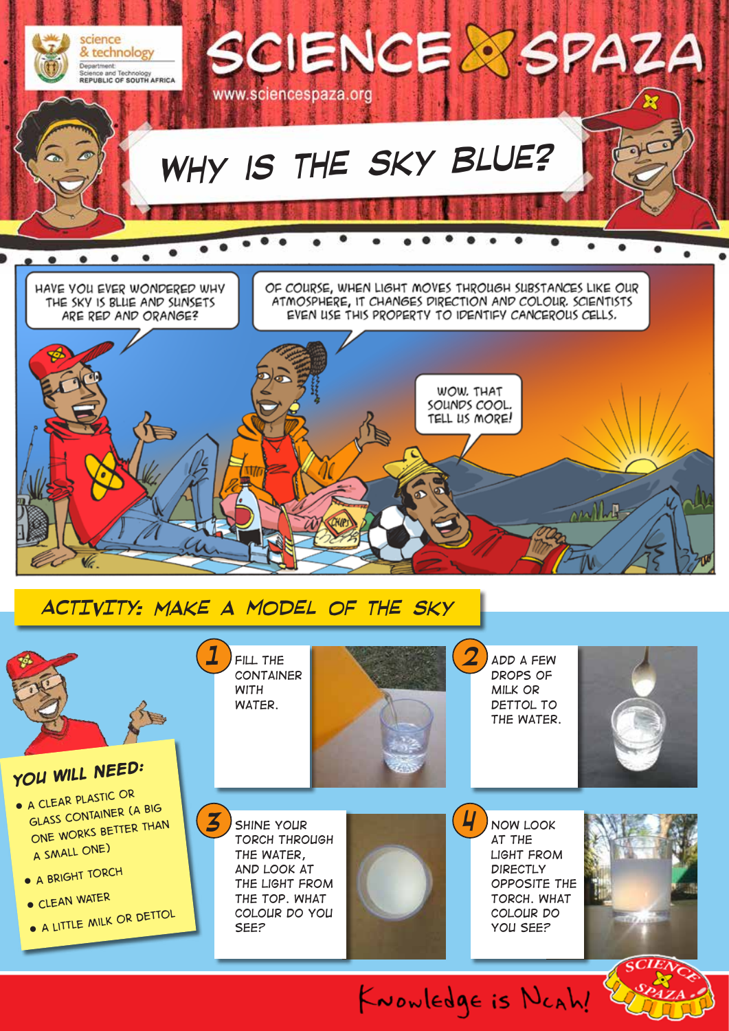



KNOWLEDge is NCAh!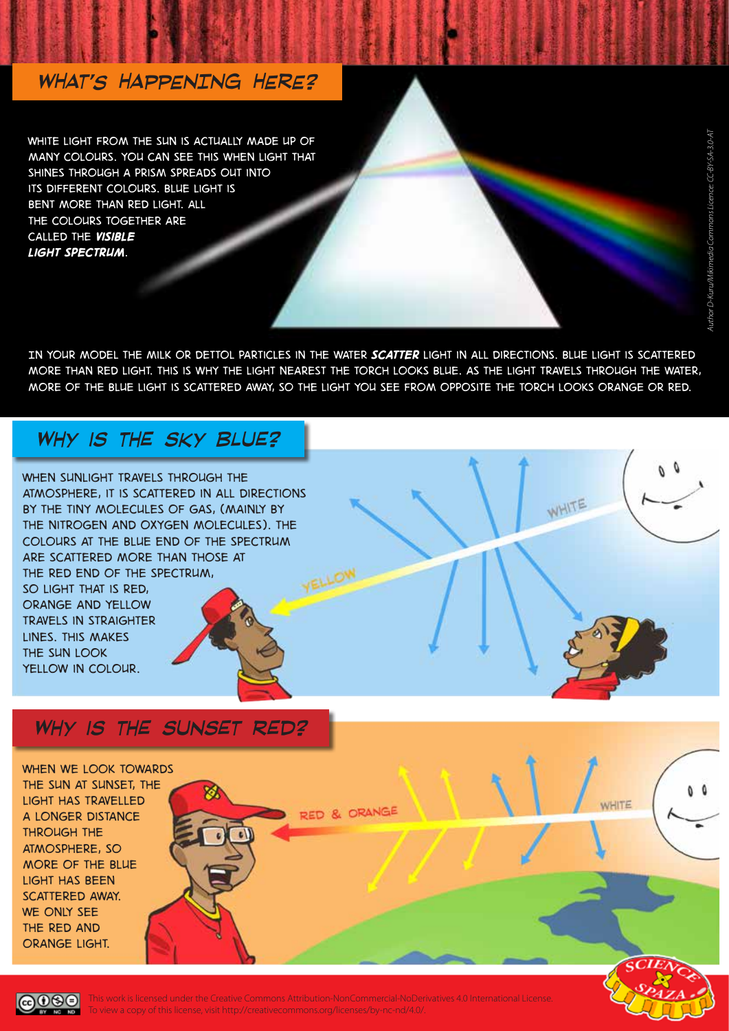#### *WHAT'S HAPPENING HERE?*

WHITE LIGHT FROM THE SUN IS ACTUALLY MADE UP OF *many colours. You can see this when light that shines through a prism spreads out into its different colours. Blue light is bent more than red light. All the colours together are called the visible light spectrum.*

*In your model the milk or Dettol particles in the water scatter light in all directions. Blue light is scattered more than red light. This is why the light nearest the torch looks blue. As the light travels through the water, more of the blue light is scattered away, so the light you see from opposite the torch looks orange or red.*

#### *Why is the sky blue?*

*When sunlight travels through the atmosphere, it is scattered in all directions by the tiny molecules of gas, (mainly by the nitrogen and oxygen molecules). The colours at the blue end of the spectrum are scattered more than those at the red end of the spectrum,* 

*so light that is red, orange and yellow travels in straighter lines. This makes the sun look yellow in colour.*

#### *Why is the sunset red?*

*When we look towards the sun at sunset, the light has travelled a longer distance through the atmosphere, so more of the blue light has been scattered away. We only see the red and orange light.*

ெை

This work is licensed under the Creative Commons Attribution-NonCommercial-NoDerivatives 4.0 International License. To view a copy of this license, visit http://creativecommons.org/licenses/by-nc-nd/4.0/.

RED & ORANGE

WHITE

WHITE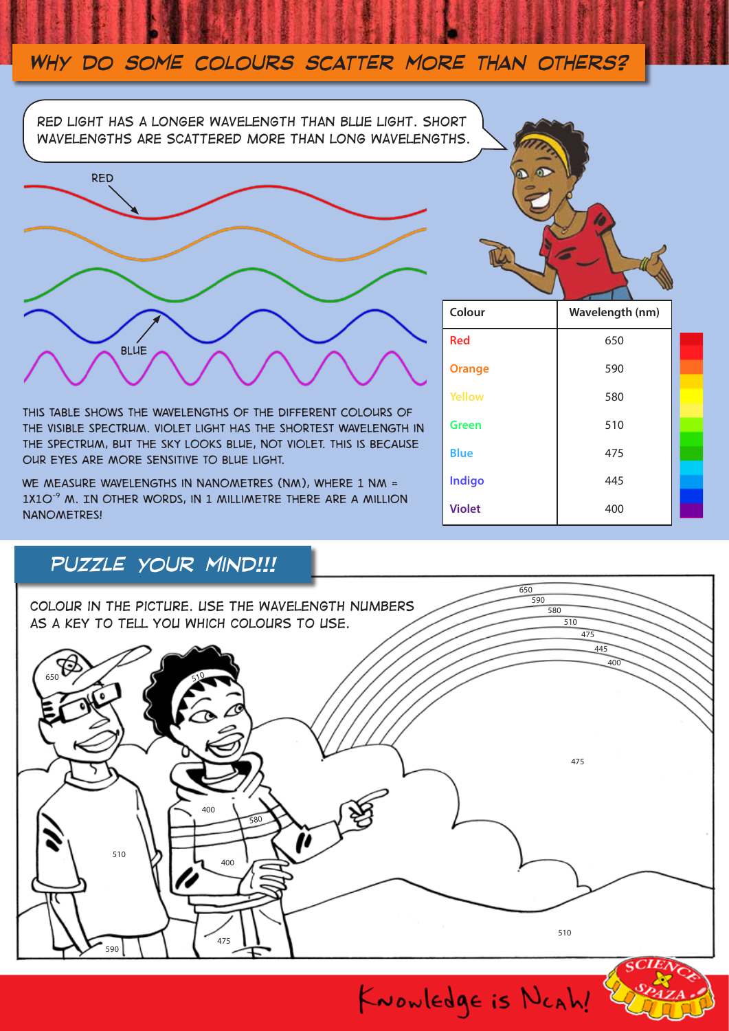### *Why do some colours scatter more than others?*

*Red light has a longer wavelength than blue light. Short wavelengths are scattered more than long wavelengths.* 



*This table shows the wavelengths of the different colours of the visible spectrum. Violet light has the shortest wavelength in the spectrum, but the sky looks blue, not violet. This is because our eyes are more sensitive to blue light.* 

*We measure wavelengths in nanometres (nm), where 1 nm = 1x10-9 m. In other words, in 1 millimetre there are a million nanometres!*

## *puzzle your mind!!!*

| 590<br>COLOUR IN THE PICTURE. USE THE WAVELENGTH NUMBERS<br>580<br>AS A KEY TO TELL YOU WHICH COLOURS TO USE.<br>510<br>475<br>445<br>400<br>650<br>$\epsilon$<br>475<br>400<br>580<br>510<br>400 |               |
|---------------------------------------------------------------------------------------------------------------------------------------------------------------------------------------------------|---------------|
|                                                                                                                                                                                                   |               |
|                                                                                                                                                                                                   |               |
|                                                                                                                                                                                                   |               |
|                                                                                                                                                                                                   |               |
|                                                                                                                                                                                                   |               |
| 510<br>475<br>590                                                                                                                                                                                 | <b>SCIENT</b> |



| Colour        | Wavelength (nm) |  |
|---------------|-----------------|--|
| <b>Red</b>    | 650             |  |
| <b>Orange</b> | 590             |  |
| <b>Yellow</b> | 580             |  |
| <b>Green</b>  | 510             |  |
| <b>Blue</b>   | 475             |  |
| <b>Indigo</b> | 445             |  |
| <b>Violet</b> | 400             |  |

KNOWLEDgE is NCAh!